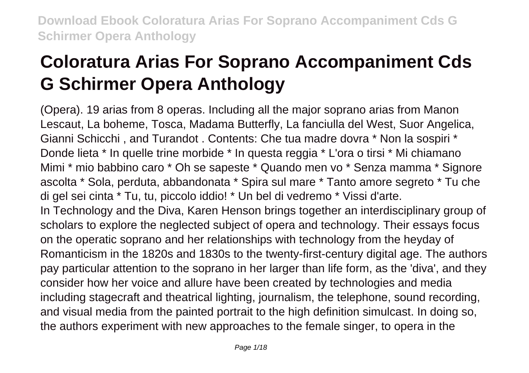# **Coloratura Arias For Soprano Accompaniment Cds G Schirmer Opera Anthology**

(Opera). 19 arias from 8 operas. Including all the major soprano arias from Manon Lescaut, La boheme, Tosca, Madama Butterfly, La fanciulla del West, Suor Angelica, Gianni Schicchi , and Turandot . Contents: Che tua madre dovra \* Non la sospiri \* Donde lieta \* In quelle trine morbide \* In questa reggia \* L'ora o tirsi \* Mi chiamano Mimi \* mio babbino caro \* Oh se sapeste \* Quando men vo \* Senza mamma \* Signore ascolta \* Sola, perduta, abbandonata \* Spira sul mare \* Tanto amore segreto \* Tu che di gel sei cinta \* Tu, tu, piccolo iddio! \* Un bel di vedremo \* Vissi d'arte. In Technology and the Diva, Karen Henson brings together an interdisciplinary group of scholars to explore the neglected subject of opera and technology. Their essays focus on the operatic soprano and her relationships with technology from the heyday of Romanticism in the 1820s and 1830s to the twenty-first-century digital age. The authors pay particular attention to the soprano in her larger than life form, as the 'diva', and they consider how her voice and allure have been created by technologies and media including stagecraft and theatrical lighting, journalism, the telephone, sound recording, and visual media from the painted portrait to the high definition simulcast. In doing so, the authors experiment with new approaches to the female singer, to opera in the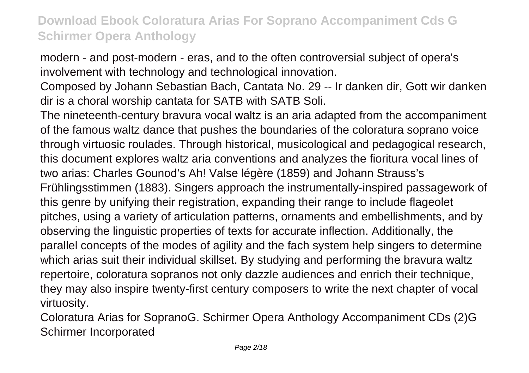modern - and post-modern - eras, and to the often controversial subject of opera's involvement with technology and technological innovation.

Composed by Johann Sebastian Bach, Cantata No. 29 -- Ir danken dir, Gott wir danken dir is a choral worship cantata for SATB with SATB Soli.

The nineteenth-century bravura vocal waltz is an aria adapted from the accompaniment of the famous waltz dance that pushes the boundaries of the coloratura soprano voice through virtuosic roulades. Through historical, musicological and pedagogical research, this document explores waltz aria conventions and analyzes the fioritura vocal lines of two arias: Charles Gounod's Ah! Valse légère (1859) and Johann Strauss's Frühlingsstimmen (1883). Singers approach the instrumentally-inspired passagework of this genre by unifying their registration, expanding their range to include flageolet pitches, using a variety of articulation patterns, ornaments and embellishments, and by observing the linguistic properties of texts for accurate inflection. Additionally, the parallel concepts of the modes of agility and the fach system help singers to determine which arias suit their individual skillset. By studying and performing the bravura waltz repertoire, coloratura sopranos not only dazzle audiences and enrich their technique, they may also inspire twenty-first century composers to write the next chapter of vocal virtuosity.

Coloratura Arias for SopranoG. Schirmer Opera Anthology Accompaniment CDs (2)G Schirmer Incorporated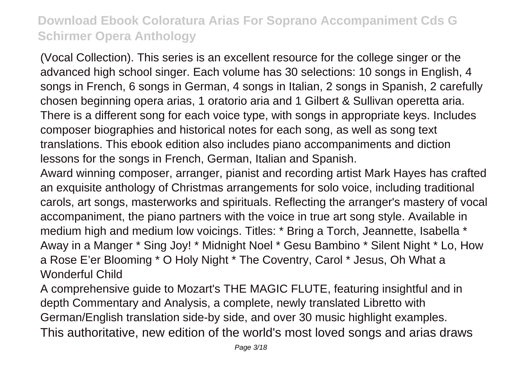(Vocal Collection). This series is an excellent resource for the college singer or the advanced high school singer. Each volume has 30 selections: 10 songs in English, 4 songs in French, 6 songs in German, 4 songs in Italian, 2 songs in Spanish, 2 carefully chosen beginning opera arias, 1 oratorio aria and 1 Gilbert & Sullivan operetta aria. There is a different song for each voice type, with songs in appropriate keys. Includes composer biographies and historical notes for each song, as well as song text translations. This ebook edition also includes piano accompaniments and diction lessons for the songs in French, German, Italian and Spanish.

Award winning composer, arranger, pianist and recording artist Mark Hayes has crafted an exquisite anthology of Christmas arrangements for solo voice, including traditional carols, art songs, masterworks and spirituals. Reflecting the arranger's mastery of vocal accompaniment, the piano partners with the voice in true art song style. Available in medium high and medium low voicings. Titles: \* Bring a Torch, Jeannette, Isabella \* Away in a Manger \* Sing Joy! \* Midnight Noel \* Gesu Bambino \* Silent Night \* Lo, How a Rose E'er Blooming \* O Holy Night \* The Coventry, Carol \* Jesus, Oh What a Wonderful Child

A comprehensive guide to Mozart's THE MAGIC FLUTE, featuring insightful and in depth Commentary and Analysis, a complete, newly translated Libretto with German/English translation side-by side, and over 30 music highlight examples. This authoritative, new edition of the world's most loved songs and arias draws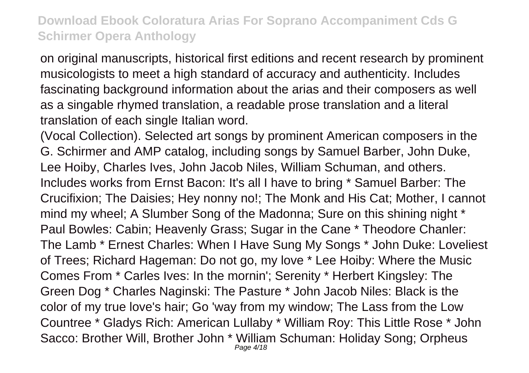on original manuscripts, historical first editions and recent research by prominent musicologists to meet a high standard of accuracy and authenticity. Includes fascinating background information about the arias and their composers as well as a singable rhymed translation, a readable prose translation and a literal translation of each single Italian word.

(Vocal Collection). Selected art songs by prominent American composers in the G. Schirmer and AMP catalog, including songs by Samuel Barber, John Duke, Lee Hoiby, Charles Ives, John Jacob Niles, William Schuman, and others. Includes works from Ernst Bacon: It's all I have to bring \* Samuel Barber: The Crucifixion; The Daisies; Hey nonny no!; The Monk and His Cat; Mother, I cannot mind my wheel; A Slumber Song of the Madonna; Sure on this shining night \* Paul Bowles: Cabin; Heavenly Grass; Sugar in the Cane \* Theodore Chanler: The Lamb \* Ernest Charles: When I Have Sung My Songs \* John Duke: Loveliest of Trees; Richard Hageman: Do not go, my love \* Lee Hoiby: Where the Music Comes From \* Carles Ives: In the mornin'; Serenity \* Herbert Kingsley: The Green Dog \* Charles Naginski: The Pasture \* John Jacob Niles: Black is the color of my true love's hair; Go 'way from my window; The Lass from the Low Countree \* Gladys Rich: American Lullaby \* William Roy: This Little Rose \* John Sacco: Brother Will, Brother John \* William Schuman: Holiday Song; Orpheus Page 4/18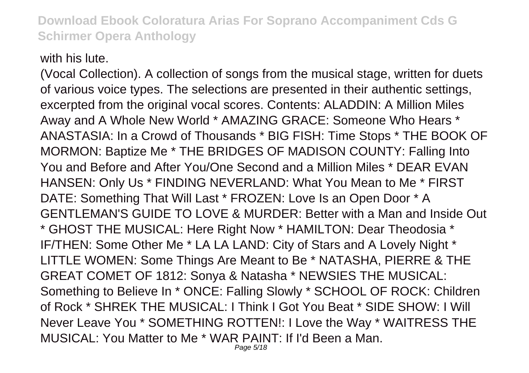with his lute.

(Vocal Collection). A collection of songs from the musical stage, written for duets of various voice types. The selections are presented in their authentic settings, excerpted from the original vocal scores. Contents: ALADDIN: A Million Miles Away and A Whole New World \* AMAZING GRACE: Someone Who Hears \* ANASTASIA: In a Crowd of Thousands \* BIG FISH: Time Stops \* THE BOOK OF MORMON: Baptize Me \* THE BRIDGES OF MADISON COUNTY: Falling Into You and Before and After You/One Second and a Million Miles \* DEAR EVAN HANSEN: Only Us \* FINDING NEVERLAND: What You Mean to Me \* FIRST DATE: Something That Will Last \* FROZEN: Love Is an Open Door \* A GENTLEMAN'S GUIDE TO LOVE & MURDER: Better with a Man and Inside Out \* GHOST THE MUSICAL: Here Right Now \* HAMILTON: Dear Theodosia \* IF/THEN: Some Other Me \* LA LA LAND: City of Stars and A Lovely Night \* LITTLE WOMEN: Some Things Are Meant to Be \* NATASHA, PIERRE & THE GREAT COMET OF 1812: Sonya & Natasha \* NEWSIES THE MUSICAL: Something to Believe In \* ONCE: Falling Slowly \* SCHOOL OF ROCK: Children of Rock \* SHREK THE MUSICAL: I Think I Got You Beat \* SIDE SHOW: I Will Never Leave You \* SOMETHING ROTTEN!: I Love the Way \* WAITRESS THE MUSICAL: You Matter to Me \* WAR PAINT: If I'd Been a Man.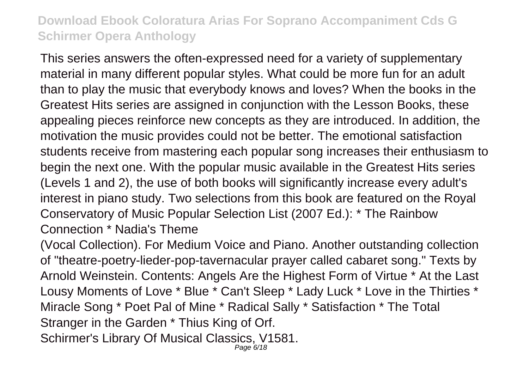This series answers the often-expressed need for a variety of supplementary material in many different popular styles. What could be more fun for an adult than to play the music that everybody knows and loves? When the books in the Greatest Hits series are assigned in conjunction with the Lesson Books, these appealing pieces reinforce new concepts as they are introduced. In addition, the motivation the music provides could not be better. The emotional satisfaction students receive from mastering each popular song increases their enthusiasm to begin the next one. With the popular music available in the Greatest Hits series (Levels 1 and 2), the use of both books will significantly increase every adult's interest in piano study. Two selections from this book are featured on the Royal Conservatory of Music Popular Selection List (2007 Ed.): \* The Rainbow Connection \* Nadia's Theme

(Vocal Collection). For Medium Voice and Piano. Another outstanding collection of "theatre-poetry-lieder-pop-tavernacular prayer called cabaret song." Texts by Arnold Weinstein. Contents: Angels Are the Highest Form of Virtue \* At the Last Lousy Moments of Love \* Blue \* Can't Sleep \* Lady Luck \* Love in the Thirties \* Miracle Song \* Poet Pal of Mine \* Radical Sally \* Satisfaction \* The Total Stranger in the Garden \* Thius King of Orf. Schirmer's Library Of Musical Classics, V1581.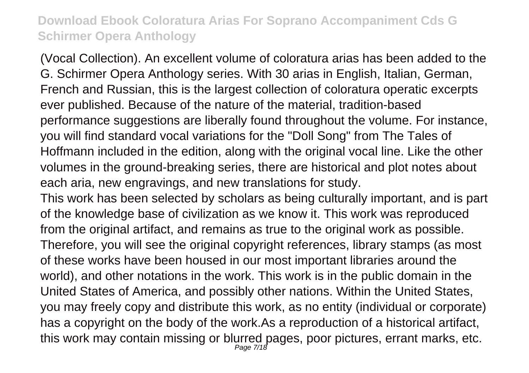(Vocal Collection). An excellent volume of coloratura arias has been added to the G. Schirmer Opera Anthology series. With 30 arias in English, Italian, German, French and Russian, this is the largest collection of coloratura operatic excerpts ever published. Because of the nature of the material, tradition-based performance suggestions are liberally found throughout the volume. For instance, you will find standard vocal variations for the "Doll Song" from The Tales of Hoffmann included in the edition, along with the original vocal line. Like the other volumes in the ground-breaking series, there are historical and plot notes about each aria, new engravings, and new translations for study.

This work has been selected by scholars as being culturally important, and is part of the knowledge base of civilization as we know it. This work was reproduced from the original artifact, and remains as true to the original work as possible. Therefore, you will see the original copyright references, library stamps (as most of these works have been housed in our most important libraries around the world), and other notations in the work. This work is in the public domain in the United States of America, and possibly other nations. Within the United States, you may freely copy and distribute this work, as no entity (individual or corporate) has a copyright on the body of the work.As a reproduction of a historical artifact, this work may contain missing or blurred pages, poor pictures, errant marks, etc.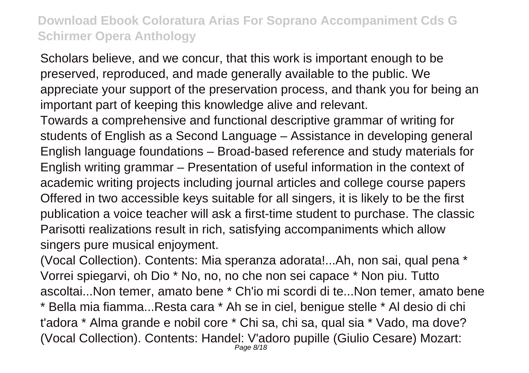Scholars believe, and we concur, that this work is important enough to be preserved, reproduced, and made generally available to the public. We appreciate your support of the preservation process, and thank you for being an important part of keeping this knowledge alive and relevant.

Towards a comprehensive and functional descriptive grammar of writing for students of English as a Second Language – Assistance in developing general English language foundations – Broad-based reference and study materials for English writing grammar – Presentation of useful information in the context of academic writing projects including journal articles and college course papers Offered in two accessible keys suitable for all singers, it is likely to be the first publication a voice teacher will ask a first-time student to purchase. The classic Parisotti realizations result in rich, satisfying accompaniments which allow singers pure musical enjoyment.

(Vocal Collection). Contents: Mia speranza adorata!...Ah, non sai, qual pena \* Vorrei spiegarvi, oh Dio \* No, no, no che non sei capace \* Non piu. Tutto ascoltai...Non temer, amato bene \* Ch'io mi scordi di te...Non temer, amato bene \* Bella mia fiamma...Resta cara \* Ah se in ciel, benigue stelle \* Al desio di chi t'adora \* Alma grande e nobil core \* Chi sa, chi sa, qual sia \* Vado, ma dove? (Vocal Collection). Contents: Handel: V'adoro pupille (Giulio Cesare) Mozart: Page 8/18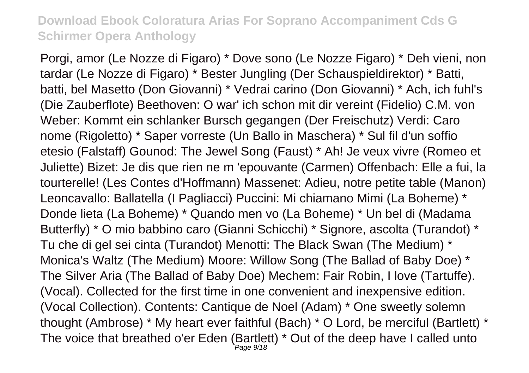Porgi, amor (Le Nozze di Figaro) \* Dove sono (Le Nozze Figaro) \* Deh vieni, non tardar (Le Nozze di Figaro) \* Bester Jungling (Der Schauspieldirektor) \* Batti, batti, bel Masetto (Don Giovanni) \* Vedrai carino (Don Giovanni) \* Ach, ich fuhl's (Die Zauberflote) Beethoven: O war' ich schon mit dir vereint (Fidelio) C.M. von Weber: Kommt ein schlanker Bursch gegangen (Der Freischutz) Verdi: Caro nome (Rigoletto) \* Saper vorreste (Un Ballo in Maschera) \* Sul fil d'un soffio etesio (Falstaff) Gounod: The Jewel Song (Faust) \* Ah! Je veux vivre (Romeo et Juliette) Bizet: Je dis que rien ne m 'epouvante (Carmen) Offenbach: Elle a fui, la tourterelle! (Les Contes d'Hoffmann) Massenet: Adieu, notre petite table (Manon) Leoncavallo: Ballatella (I Pagliacci) Puccini: Mi chiamano Mimi (La Boheme) \* Donde lieta (La Boheme) \* Quando men vo (La Boheme) \* Un bel di (Madama Butterfly) \* O mio babbino caro (Gianni Schicchi) \* Signore, ascolta (Turandot) \* Tu che di gel sei cinta (Turandot) Menotti: The Black Swan (The Medium) \* Monica's Waltz (The Medium) Moore: Willow Song (The Ballad of Baby Doe) \* The Silver Aria (The Ballad of Baby Doe) Mechem: Fair Robin, I love (Tartuffe). (Vocal). Collected for the first time in one convenient and inexpensive edition. (Vocal Collection). Contents: Cantique de Noel (Adam) \* One sweetly solemn thought (Ambrose) \* My heart ever faithful (Bach) \* O Lord, be merciful (Bartlett) \* The voice that breathed o'er Eden (Bartlett) \* Out of the deep have I called unto Page 9/18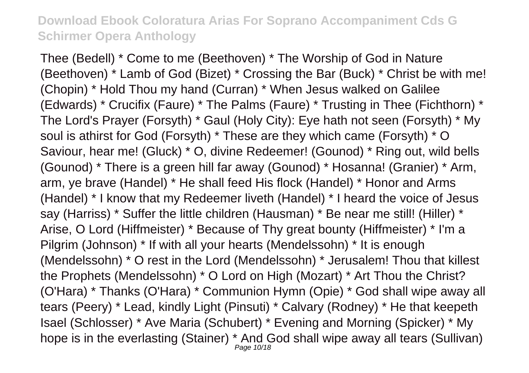Thee (Bedell) \* Come to me (Beethoven) \* The Worship of God in Nature (Beethoven) \* Lamb of God (Bizet) \* Crossing the Bar (Buck) \* Christ be with me! (Chopin) \* Hold Thou my hand (Curran) \* When Jesus walked on Galilee (Edwards) \* Crucifix (Faure) \* The Palms (Faure) \* Trusting in Thee (Fichthorn) \* The Lord's Prayer (Forsyth) \* Gaul (Holy City): Eye hath not seen (Forsyth) \* My soul is athirst for God (Forsyth) \* These are they which came (Forsyth) \* O Saviour, hear me! (Gluck) \* O, divine Redeemer! (Gounod) \* Ring out, wild bells (Gounod) \* There is a green hill far away (Gounod) \* Hosanna! (Granier) \* Arm, arm, ye brave (Handel) \* He shall feed His flock (Handel) \* Honor and Arms (Handel) \* I know that my Redeemer liveth (Handel) \* I heard the voice of Jesus say (Harriss) \* Suffer the little children (Hausman) \* Be near me still! (Hiller) \* Arise, O Lord (Hiffmeister) \* Because of Thy great bounty (Hiffmeister) \* I'm a Pilgrim (Johnson) \* If with all your hearts (Mendelssohn) \* It is enough (Mendelssohn) \* O rest in the Lord (Mendelssohn) \* Jerusalem! Thou that killest the Prophets (Mendelssohn) \* O Lord on High (Mozart) \* Art Thou the Christ? (O'Hara) \* Thanks (O'Hara) \* Communion Hymn (Opie) \* God shall wipe away all tears (Peery) \* Lead, kindly Light (Pinsuti) \* Calvary (Rodney) \* He that keepeth Isael (Schlosser) \* Ave Maria (Schubert) \* Evening and Morning (Spicker) \* My hope is in the everlasting (Stainer) \* And God shall wipe away all tears (Sullivan) Page 10/18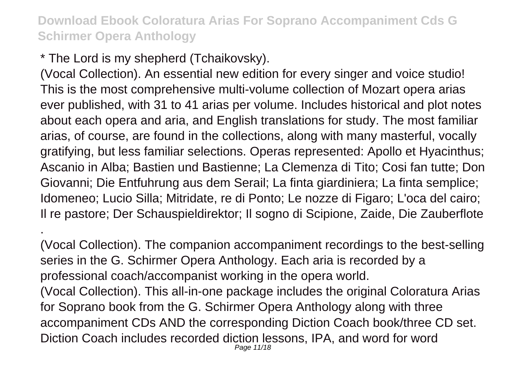\* The Lord is my shepherd (Tchaikovsky).

.

(Vocal Collection). An essential new edition for every singer and voice studio! This is the most comprehensive multi-volume collection of Mozart opera arias ever published, with 31 to 41 arias per volume. Includes historical and plot notes about each opera and aria, and English translations for study. The most familiar arias, of course, are found in the collections, along with many masterful, vocally gratifying, but less familiar selections. Operas represented: Apollo et Hyacinthus; Ascanio in Alba; Bastien und Bastienne; La Clemenza di Tito; Cosi fan tutte; Don Giovanni; Die Entfuhrung aus dem Serail; La finta giardiniera; La finta semplice; Idomeneo; Lucio Silla; Mitridate, re di Ponto; Le nozze di Figaro; L'oca del cairo; Il re pastore; Der Schauspieldirektor; Il sogno di Scipione, Zaide, Die Zauberflote

(Vocal Collection). The companion accompaniment recordings to the best-selling series in the G. Schirmer Opera Anthology. Each aria is recorded by a professional coach/accompanist working in the opera world. (Vocal Collection). This all-in-one package includes the original Coloratura Arias for Soprano book from the G. Schirmer Opera Anthology along with three accompaniment CDs AND the corresponding Diction Coach book/three CD set. Diction Coach includes recorded diction lessons, IPA, and word for word Page 11/18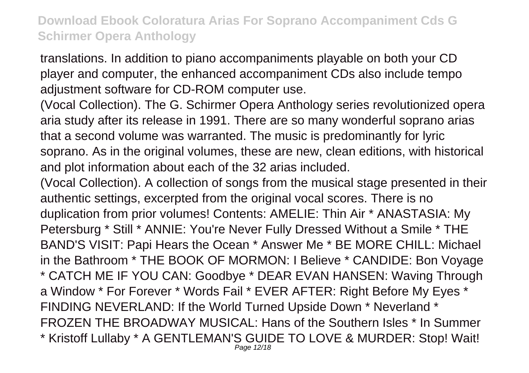translations. In addition to piano accompaniments playable on both your CD player and computer, the enhanced accompaniment CDs also include tempo adjustment software for CD-ROM computer use.

(Vocal Collection). The G. Schirmer Opera Anthology series revolutionized opera aria study after its release in 1991. There are so many wonderful soprano arias that a second volume was warranted. The music is predominantly for lyric soprano. As in the original volumes, these are new, clean editions, with historical and plot information about each of the 32 arias included.

(Vocal Collection). A collection of songs from the musical stage presented in their authentic settings, excerpted from the original vocal scores. There is no duplication from prior volumes! Contents: AMELIE: Thin Air \* ANASTASIA: My Petersburg \* Still \* ANNIE: You're Never Fully Dressed Without a Smile \* THE BAND'S VISIT: Papi Hears the Ocean \* Answer Me \* BE MORE CHILL: Michael in the Bathroom \* THE BOOK OF MORMON: I Believe \* CANDIDE: Bon Voyage \* CATCH ME IF YOU CAN: Goodbye \* DEAR EVAN HANSEN: Waving Through a Window \* For Forever \* Words Fail \* EVER AFTER: Right Before My Eyes \* FINDING NEVERLAND: If the World Turned Upside Down \* Neverland \* FROZEN THE BROADWAY MUSICAL: Hans of the Southern Isles \* In Summer \* Kristoff Lullaby \* A GENTLEMAN'S GUIDE TO LOVE & MURDER: Stop! Wait! Page 12/18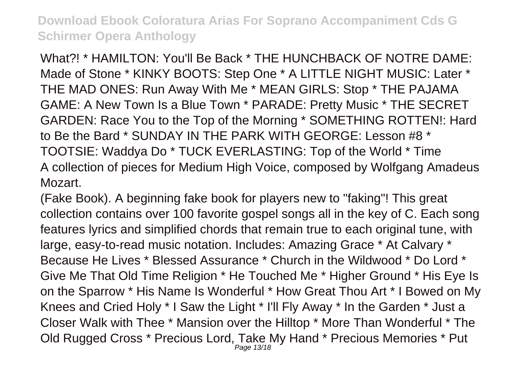What?! \* HAMILTON: You'll Be Back \* THE HUNCHBACK OF NOTRE DAME: Made of Stone \* KINKY BOOTS: Step One \* A LITTLE NIGHT MUSIC: Later \* THE MAD ONES: Run Away With Me \* MEAN GIRLS: Stop \* THE PAJAMA GAME: A New Town Is a Blue Town \* PARADE: Pretty Music \* THE SECRET GARDEN: Race You to the Top of the Morning \* SOMETHING ROTTEN!: Hard to Be the Bard \* SUNDAY IN THE PARK WITH GEORGE: Lesson #8 \* TOOTSIE: Waddya Do \* TUCK EVERLASTING: Top of the World \* Time A collection of pieces for Medium High Voice, composed by Wolfgang Amadeus Mozart.

(Fake Book). A beginning fake book for players new to "faking"! This great collection contains over 100 favorite gospel songs all in the key of C. Each song features lyrics and simplified chords that remain true to each original tune, with large, easy-to-read music notation. Includes: Amazing Grace \* At Calvary \* Because He Lives \* Blessed Assurance \* Church in the Wildwood \* Do Lord \* Give Me That Old Time Religion \* He Touched Me \* Higher Ground \* His Eye Is on the Sparrow \* His Name Is Wonderful \* How Great Thou Art \* I Bowed on My Knees and Cried Holy \* I Saw the Light \* I'll Fly Away \* In the Garden \* Just a Closer Walk with Thee \* Mansion over the Hilltop \* More Than Wonderful \* The Old Rugged Cross \* Precious Lord, Take My Hand \* Precious Memories \* Put Page 13/18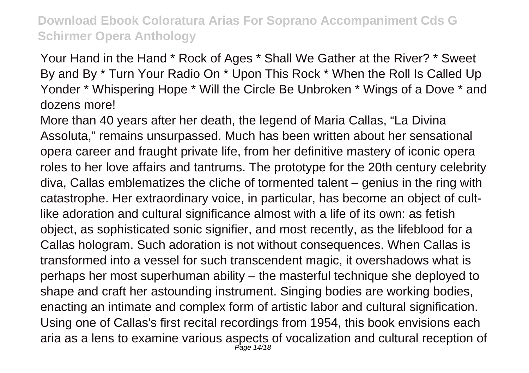Your Hand in the Hand \* Rock of Ages \* Shall We Gather at the River? \* Sweet By and By \* Turn Your Radio On \* Upon This Rock \* When the Roll Is Called Up Yonder \* Whispering Hope \* Will the Circle Be Unbroken \* Wings of a Dove \* and dozens more!

More than 40 years after her death, the legend of Maria Callas, "La Divina Assoluta," remains unsurpassed. Much has been written about her sensational opera career and fraught private life, from her definitive mastery of iconic opera roles to her love affairs and tantrums. The prototype for the 20th century celebrity diva, Callas emblematizes the cliche of tormented talent – genius in the ring with catastrophe. Her extraordinary voice, in particular, has become an object of cultlike adoration and cultural significance almost with a life of its own: as fetish object, as sophisticated sonic signifier, and most recently, as the lifeblood for a Callas hologram. Such adoration is not without consequences. When Callas is transformed into a vessel for such transcendent magic, it overshadows what is perhaps her most superhuman ability – the masterful technique she deployed to shape and craft her astounding instrument. Singing bodies are working bodies, enacting an intimate and complex form of artistic labor and cultural signification. Using one of Callas's first recital recordings from 1954, this book envisions each aria as a lens to examine various aspects of vocalization and cultural reception of Page 14/18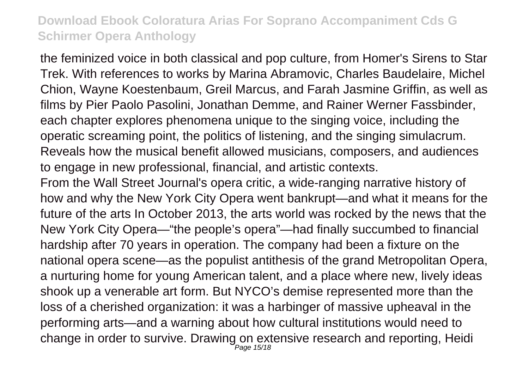the feminized voice in both classical and pop culture, from Homer's Sirens to Star Trek. With references to works by Marina Abramovic, Charles Baudelaire, Michel Chion, Wayne Koestenbaum, Greil Marcus, and Farah Jasmine Griffin, as well as films by Pier Paolo Pasolini, Jonathan Demme, and Rainer Werner Fassbinder, each chapter explores phenomena unique to the singing voice, including the operatic screaming point, the politics of listening, and the singing simulacrum. Reveals how the musical benefit allowed musicians, composers, and audiences to engage in new professional, financial, and artistic contexts.

From the Wall Street Journal's opera critic, a wide-ranging narrative history of how and why the New York City Opera went bankrupt—and what it means for the future of the arts In October 2013, the arts world was rocked by the news that the New York City Opera—"the people's opera"—had finally succumbed to financial hardship after 70 years in operation. The company had been a fixture on the national opera scene—as the populist antithesis of the grand Metropolitan Opera, a nurturing home for young American talent, and a place where new, lively ideas shook up a venerable art form. But NYCO's demise represented more than the loss of a cherished organization: it was a harbinger of massive upheaval in the performing arts—and a warning about how cultural institutions would need to change in order to survive. Drawing on extensive research and reporting, Heidi Page 15/18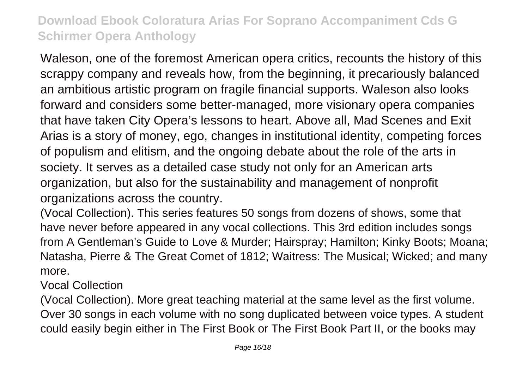Waleson, one of the foremost American opera critics, recounts the history of this scrappy company and reveals how, from the beginning, it precariously balanced an ambitious artistic program on fragile financial supports. Waleson also looks forward and considers some better-managed, more visionary opera companies that have taken City Opera's lessons to heart. Above all, Mad Scenes and Exit Arias is a story of money, ego, changes in institutional identity, competing forces of populism and elitism, and the ongoing debate about the role of the arts in society. It serves as a detailed case study not only for an American arts organization, but also for the sustainability and management of nonprofit organizations across the country.

(Vocal Collection). This series features 50 songs from dozens of shows, some that have never before appeared in any vocal collections. This 3rd edition includes songs from A Gentleman's Guide to Love & Murder; Hairspray; Hamilton; Kinky Boots; Moana; Natasha, Pierre & The Great Comet of 1812; Waitress: The Musical; Wicked; and many more.

Vocal Collection

(Vocal Collection). More great teaching material at the same level as the first volume. Over 30 songs in each volume with no song duplicated between voice types. A student could easily begin either in The First Book or The First Book Part II, or the books may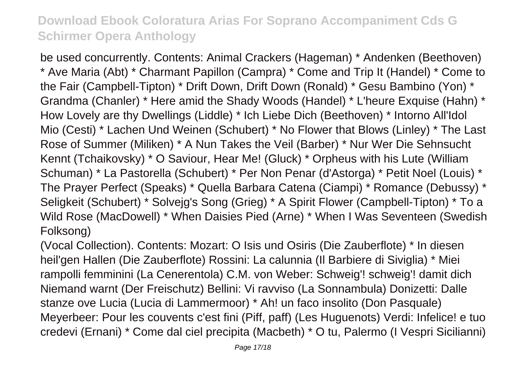be used concurrently. Contents: Animal Crackers (Hageman) \* Andenken (Beethoven) \* Ave Maria (Abt) \* Charmant Papillon (Campra) \* Come and Trip It (Handel) \* Come to the Fair (Campbell-Tipton) \* Drift Down, Drift Down (Ronald) \* Gesu Bambino (Yon) \* Grandma (Chanler) \* Here amid the Shady Woods (Handel) \* L'heure Exquise (Hahn) \* How Lovely are thy Dwellings (Liddle) \* Ich Liebe Dich (Beethoven) \* Intorno All'Idol Mio (Cesti) \* Lachen Und Weinen (Schubert) \* No Flower that Blows (Linley) \* The Last Rose of Summer (Miliken) \* A Nun Takes the Veil (Barber) \* Nur Wer Die Sehnsucht Kennt (Tchaikovsky) \* O Saviour, Hear Me! (Gluck) \* Orpheus with his Lute (William Schuman) \* La Pastorella (Schubert) \* Per Non Penar (d'Astorga) \* Petit Noel (Louis) \* The Prayer Perfect (Speaks) \* Quella Barbara Catena (Ciampi) \* Romance (Debussy) \* Seligkeit (Schubert) \* Solvejg's Song (Grieg) \* A Spirit Flower (Campbell-Tipton) \* To a Wild Rose (MacDowell) \* When Daisies Pied (Arne) \* When I Was Seventeen (Swedish Folksong)

(Vocal Collection). Contents: Mozart: O Isis und Osiris (Die Zauberflote) \* In diesen heil'gen Hallen (Die Zauberflote) Rossini: La calunnia (Il Barbiere di Siviglia) \* Miei rampolli femminini (La Cenerentola) C.M. von Weber: Schweig'! schweig'! damit dich Niemand warnt (Der Freischutz) Bellini: Vi ravviso (La Sonnambula) Donizetti: Dalle stanze ove Lucia (Lucia di Lammermoor) \* Ah! un faco insolito (Don Pasquale) Meyerbeer: Pour les couvents c'est fini (Piff, paff) (Les Huguenots) Verdi: Infelice! e tuo credevi (Ernani) \* Come dal ciel precipita (Macbeth) \* O tu, Palermo (I Vespri Sicilianni)